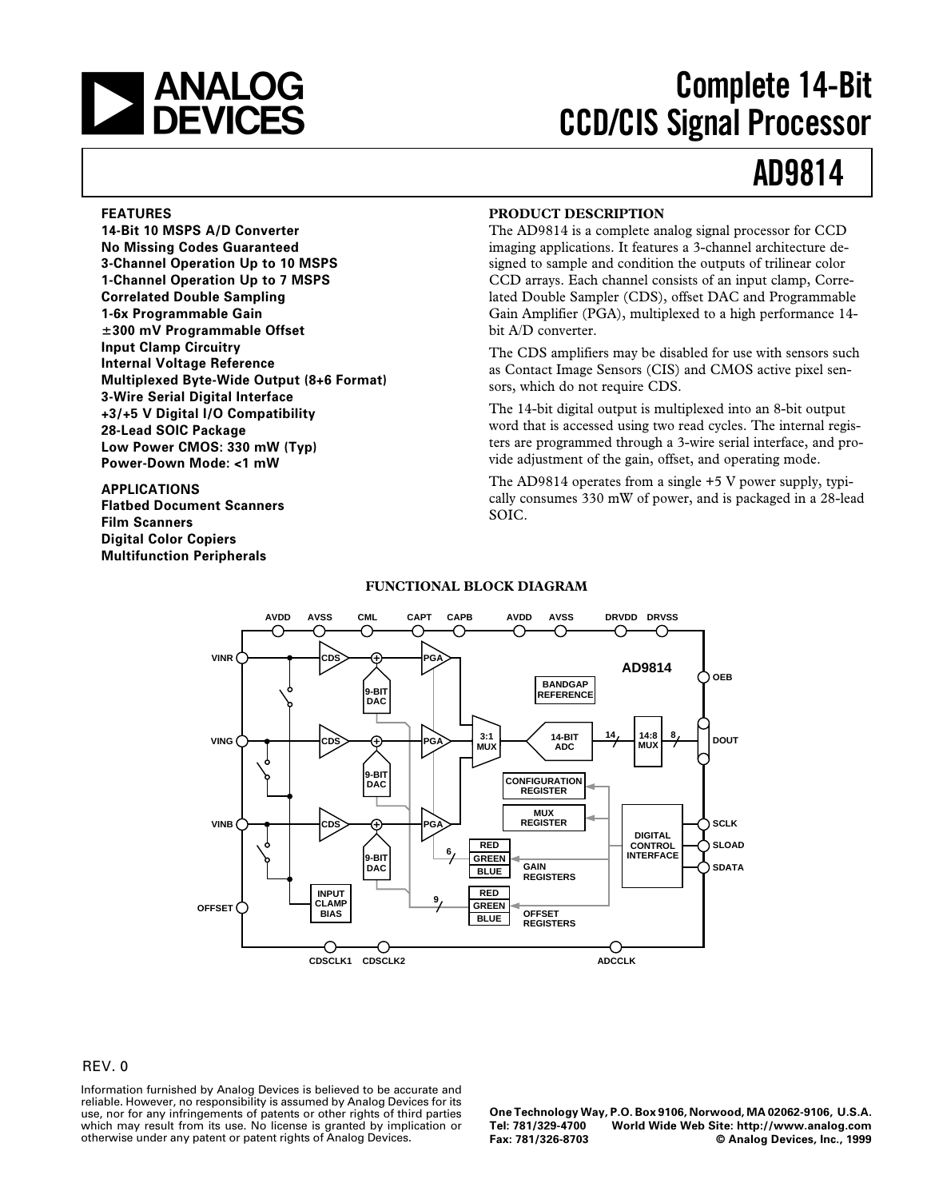

# **Complete 14-Bit CCD/CIS Signal Processor**

## **AD9814**

#### **FEATURES**

**14-Bit 10 MSPS A/D Converter No Missing Codes Guaranteed 3-Channel Operation Up to 10 MSPS 1-Channel Operation Up to 7 MSPS Correlated Double Sampling 1-6x Programmable Gain** 6**300 mV Programmable Offset Input Clamp Circuitry Internal Voltage Reference Multiplexed Byte-Wide Output (8+6 Format) 3-Wire Serial Digital Interface +3/+5 V Digital I/O Compatibility 28-Lead SOIC Package Low Power CMOS: 330 mW (Typ) Power-Down Mode: <1 mW**

**APPLICATIONS Flatbed Document Scanners Film Scanners Digital Color Copiers Multifunction Peripherals**

### **PRODUCT DESCRIPTION**

The AD9814 is a complete analog signal processor for CCD imaging applications. It features a 3-channel architecture designed to sample and condition the outputs of trilinear color CCD arrays. Each channel consists of an input clamp, Correlated Double Sampler (CDS), offset DAC and Programmable Gain Amplifier (PGA), multiplexed to a high performance 14 bit A/D converter.

The CDS amplifiers may be disabled for use with sensors such as Contact Image Sensors (CIS) and CMOS active pixel sensors, which do not require CDS.

The 14-bit digital output is multiplexed into an 8-bit output word that is accessed using two read cycles. The internal registers are programmed through a 3-wire serial interface, and provide adjustment of the gain, offset, and operating mode.

The AD9814 operates from a single +5 V power supply, typically consumes 330 mW of power, and is packaged in a 28-lead SOIC.



#### **FUNCTIONAL BLOCK DIAGRAM**

#### REV. 0

Information furnished by Analog Devices is believed to be accurate and reliable. However, no responsibility is assumed by Analog Devices for its use, nor for any infringements of patents or other rights of third parties which may result from its use. No license is granted by implication or otherwise under any patent or patent rights of Analog Devices.

**One Technology Way, P.O. Box 9106, Norwood, MA 02062-9106, U.S.A. Tel: 781/329-4700 World Wide Web Site: http://www.analog.com**  $©$  Analog Devices, Inc., 1999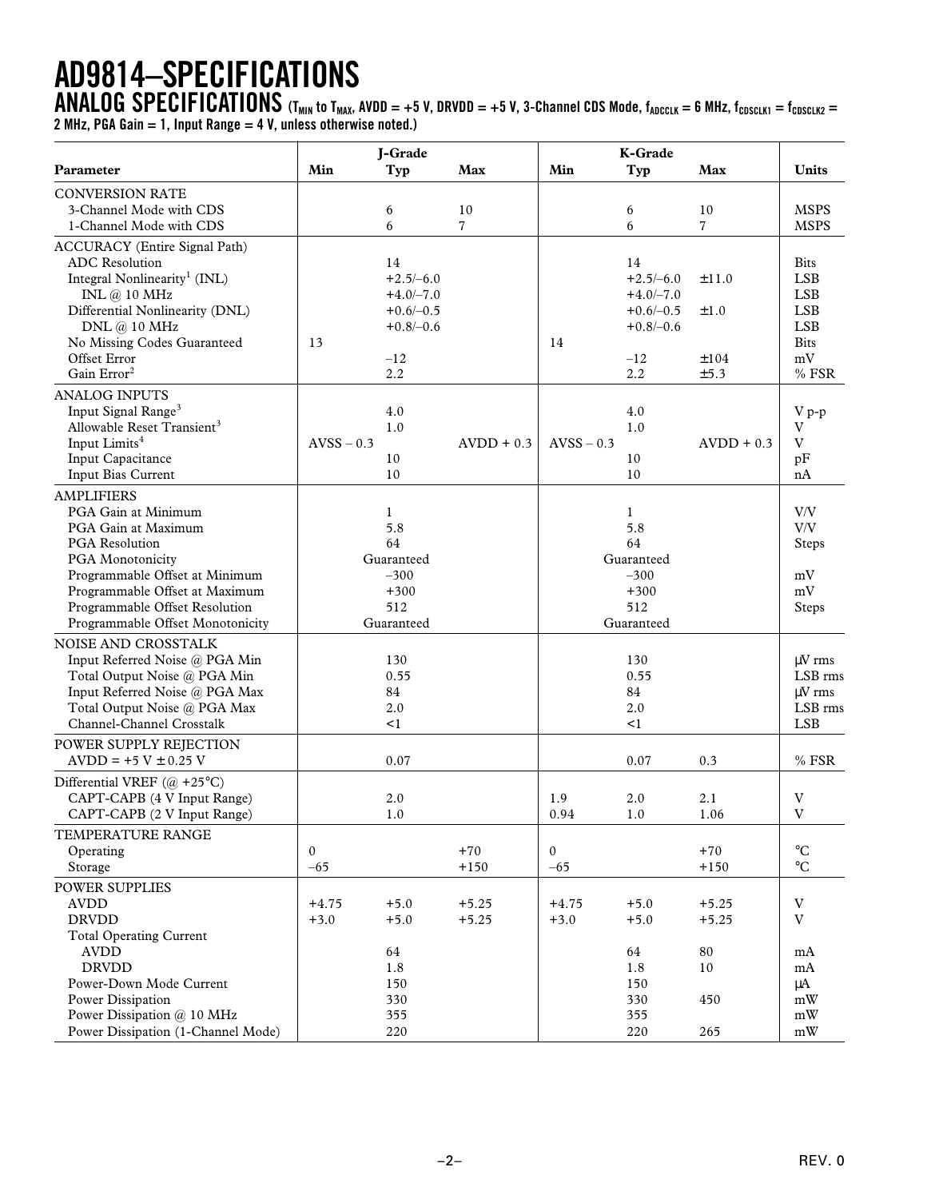# **AD9814–SPECIFICATIONS**

 $\bf{ANALOG}$   $\bf{SPECIFICATIONS}$  (T<sub>MIN</sub> to T<sub>MAX</sub>, AVDD = +5 V, DRVDD = +5 V, 3-Channel CDS Mode, f<sub>ADCCLK</sub> = 6 MHz, f<sub>CDSCLK1</sub> = f<sub>CDSCLK2</sub> = **2 MHz, PGA Gain = 1, Input Range = 4 V, unless otherwise noted.)**

|                                                 |              | J-Grade             |              |                  |                       |                |                           |
|-------------------------------------------------|--------------|---------------------|--------------|------------------|-----------------------|----------------|---------------------------|
| Parameter                                       | Min          | Typ                 | Max          | Min              | K-Grade<br><b>Typ</b> | Max            | <b>Units</b>              |
| <b>CONVERSION RATE</b>                          |              |                     |              |                  |                       |                |                           |
| 3-Channel Mode with CDS                         |              | 6                   | 10           |                  | 6                     | 10             | <b>MSPS</b>               |
| 1-Channel Mode with CDS                         |              | 6                   | 7            |                  | 6                     | $\overline{7}$ | <b>MSPS</b>               |
| <b>ACCURACY</b> (Entire Signal Path)            |              |                     |              |                  |                       |                |                           |
| <b>ADC</b> Resolution                           |              | 14                  |              |                  | 14                    |                | <b>Bits</b>               |
| Integral Nonlinearity <sup>1</sup> (INL)        |              | $+2.5/-6.0$         |              |                  | $+2.5/-6.0$           | ±11.0          | <b>LSB</b>                |
| INL @ 10 MHz                                    |              | $+4.0/-7.0$         |              |                  | $+4.0/-7.0$           |                | <b>LSB</b>                |
| Differential Nonlinearity (DNL)                 |              | $+0.6/-0.5$         |              |                  | $+0.6/-0.5$           | ±1.0           | <b>LSB</b>                |
| DNL @ 10 MHz                                    |              | $+0.8/-0.6$         |              |                  | $+0.8/-0.6$           |                | <b>LSB</b>                |
| No Missing Codes Guaranteed                     | 13           |                     |              | 14               |                       |                | <b>Bits</b>               |
| Offset Error                                    |              | $-12$               |              |                  | $-12$                 | ±104           | $\rm mV$                  |
| Gain Error <sup>2</sup>                         |              | 2.2                 |              |                  | 2.2                   | ±5.3           | $%$ FSR                   |
| <b>ANALOG INPUTS</b>                            |              |                     |              |                  |                       |                |                           |
| Input Signal Range <sup>3</sup>                 |              | 4.0                 |              |                  | 4.0                   |                | V p-p                     |
| Allowable Reset Transient <sup>3</sup>          |              | 1.0                 |              |                  | 1.0                   |                | V<br>V                    |
| Input Limits <sup>4</sup><br>Input Capacitance  | $AVSS - 0.3$ |                     | $AVDD + 0.3$ | $AVSS - 0.3$     | 10                    | $AVDD + 0.3$   |                           |
| Input Bias Current                              |              | 10<br>10            |              |                  | 10                    |                | pF<br>nA                  |
|                                                 |              |                     |              |                  |                       |                |                           |
| <b>AMPLIFIERS</b><br>PGA Gain at Minimum        |              |                     |              |                  |                       |                | $\rm{V/V}$                |
| PGA Gain at Maximum                             |              | $\mathbf{1}$<br>5.8 |              |                  | $\mathbf{1}$<br>5.8   |                | $\rm{V/V}$                |
| PGA Resolution                                  |              | 64                  |              |                  | 64                    |                | <b>Steps</b>              |
| PGA Monotonicity                                |              | Guaranteed          |              |                  | Guaranteed            |                |                           |
| Programmable Offset at Minimum                  |              | $-300$              |              |                  | $-300$                |                | mV                        |
| Programmable Offset at Maximum                  |              | $+300$              |              |                  | $+300$                |                | mV                        |
| Programmable Offset Resolution                  |              | 512                 |              |                  | 512                   |                | Steps                     |
| Programmable Offset Monotonicity                |              | Guaranteed          |              |                  | Guaranteed            |                |                           |
| NOISE AND CROSSTALK                             |              |                     |              |                  |                       |                |                           |
| Input Referred Noise @ PGA Min                  |              | 130                 |              |                  | 130                   |                | $\mu$ V rms               |
| Total Output Noise @ PGA Min                    |              | 0.55                |              |                  | 0.55                  |                | LSB rms                   |
| Input Referred Noise @ PGA Max                  |              | 84                  |              |                  | 84                    |                | uV rms                    |
| Total Output Noise @ PGA Max                    |              | 2.0                 |              |                  | 2.0                   |                | LSB rms                   |
| Channel-Channel Crosstalk                       |              | $\leq$ 1            |              |                  | $\leq$ 1              |                | <b>LSB</b>                |
| <b>POWER SUPPLY REJECTION</b>                   |              |                     |              |                  |                       |                |                           |
| $AVDD = +5 V \pm 0.25 V$                        |              | 0.07                |              |                  | 0.07                  | 0.3            | $%$ FSR                   |
| Differential VREF $(\omega + 25^{\circ}C)$      |              |                     |              |                  |                       |                |                           |
| CAPT-CAPB (4 V Input Range)                     |              | 2.0                 |              | 1.9              | 2.0                   | 2.1            | $\ensuremath{\text{V}}$   |
| CAPT-CAPB (2 V Input Range)                     |              | 1.0                 |              | 0.94             | 1.0                   | 1.06           | V                         |
| TEMPERATURE RANGE                               |              |                     |              |                  |                       |                |                           |
| Operating                                       | $\mathbf{0}$ |                     | $+70$        | $\boldsymbol{0}$ |                       | $+70$          | $\rm ^{\circ}C$           |
| Storage                                         | $-65$        |                     | $+150$       | $-65$            |                       | $+150$         | $\rm ^{\circ}C$           |
| <b>POWER SUPPLIES</b>                           |              |                     |              |                  |                       |                |                           |
| <b>AVDD</b>                                     | $+4.75$      | $+5.0$              | $+5.25$      | $+4.75$          | $+5.0$                | $+5.25$        | $\ensuremath{\mathbf{V}}$ |
| <b>DRVDD</b>                                    | $+3.0$       | $+5.0$              | $+5.25$      | $+3.0$           | $+5.0$                | $+5.25$        | $\ensuremath{\mathbf{V}}$ |
| <b>Total Operating Current</b>                  |              |                     |              |                  |                       |                |                           |
| <b>AVDD</b>                                     |              | 64                  |              |                  | 64                    | 80             | mA                        |
| <b>DRVDD</b>                                    |              | 1.8                 |              |                  | 1.8                   | 10             | mA                        |
| Power-Down Mode Current                         |              | 150                 |              |                  | 150                   |                | $\mu A$                   |
| Power Dissipation<br>Power Dissipation @ 10 MHz |              | 330<br>355          |              |                  | 330<br>355            | 450            | mW<br>mW                  |
| Power Dissipation (1-Channel Mode)              |              | 220                 |              |                  | 220                   | 265            | $\bold{m}\bold{W}$        |
|                                                 |              |                     |              |                  |                       |                |                           |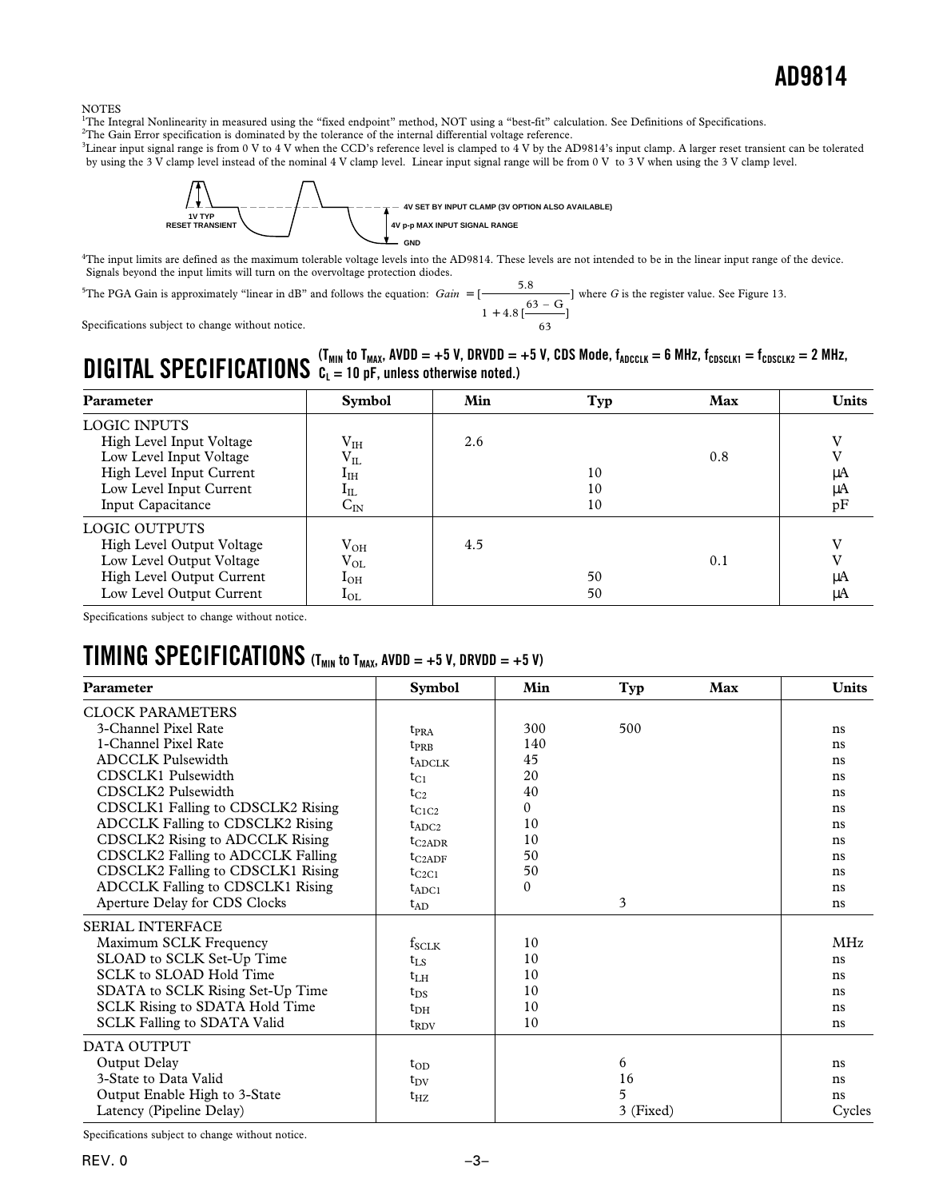#### NOTES

<sup>1</sup>The Integral Nonlinearity in measured using the "fixed endpoint" method, NOT using a "best-fit" calculation. See Definitions of Specifications.

<sup>2</sup>The Gain Error specification is dominated by the tolerance of the internal differential voltage reference.

3 Linear input signal range is from 0 V to 4 V when the CCD's reference level is clamped to 4 V by the AD9814's input clamp. A larger reset transient can be tolerated by using the 3 V clamp level instead of the nominal 4 V clamp level. Linear input signal range will be from 0 V to 3 V when using the 3 V clamp level.



4 The input limits are defined as the maximum tolerable voltage levels into the AD9814. These levels are not intended to be in the linear input range of the device. Signals beyond the input limits will turn on the overvoltage protection diodes.

<sup>5</sup>The PGA Gain is approximately "linear in dB" and follows the equation: *Gain* = +  $\frac{5}{1}$  $.8$  [  $\longrightarrow$  ] ] 5 8  $1 + 4.8$  [ $\frac{63 - G}{4}$ 63 where *G* is the register value. See Figure 13.

Specifications subject to change without notice.

### **DIGITAL SPECIFICATIONS**  $C_L = 10$  pF, unless otherwise noted.)<br>**DIGITAL SPECIFICATIONS**  $C_L = 10$  pF, unless otherwise noted.) **CL = 10 pF, unless otherwise noted.)**

| <b>Parameter</b>          | <b>Symbol</b>             | Min | Typ | Max | <b>Units</b> |
|---------------------------|---------------------------|-----|-----|-----|--------------|
| <b>LOGIC INPUTS</b>       |                           |     |     |     |              |
| High Level Input Voltage  | $\rm V_{IH}$              | 2.6 |     |     | v            |
| Low Level Input Voltage   | $V_{IL}$                  |     |     | 0.8 |              |
| High Level Input Current  | $I_{\rm IH}$              |     | 10  |     | μA           |
| Low Level Input Current   | $1_{\rm IL}$              |     | 10  |     | μA           |
| Input Capacitance         | $\mathsf{C}_{\mathbb{N}}$ |     | 10  |     | pF           |
| LOGIC OUTPUTS             |                           |     |     |     |              |
| High Level Output Voltage | $\rm V_{OH}$              | 4.5 |     |     | $\mathbf{v}$ |
| Low Level Output Voltage  | $\rm V_{OL}$              |     |     | 0.1 |              |
| High Level Output Current | $I_{OH}$                  |     | 50  |     | μA           |
| Low Level Output Current  | $I_{OL}$                  |     | 50  |     | μA           |

Specifications subject to change without notice.

### **TIMING SPECIFICATIONS** (T<sub>MIN</sub> to T<sub>MAX</sub>, AVDD = +5 V, DRVDD = +5 V)

| Parameter                             | <b>Symbol</b> | Min          | Typ       | Max | <b>Units</b> |
|---------------------------------------|---------------|--------------|-----------|-----|--------------|
| <b>CLOCK PARAMETERS</b>               |               |              |           |     |              |
| 3-Channel Pixel Rate                  | $t_{\rm PRA}$ | 300          | 500       |     | ns           |
| 1-Channel Pixel Rate                  | $t_{PRB}$     | 140          |           |     | ns           |
| <b>ADCCLK Pulsewidth</b>              | $t_{ADCI,K}$  | 45           |           |     | ns           |
| CDSCLK1 Pulsewidth                    | $t_{C1}$      | 20           |           |     | ns           |
| CDSCLK2 Pulsewidth                    | $t_{C2}$      | 40           |           |     | ns           |
| CDSCLK1 Falling to CDSCLK2 Rising     | $t_{C1C2}$    | $\theta$     |           |     | ns           |
| ADCCLK Falling to CDSCLK2 Rising      | $t_{ADC2}$    | 10           |           |     | ns           |
| CDSCLK2 Rising to ADCCLK Rising       | $t_{C2ADR}$   | 10           |           |     | ns           |
| CDSCLK2 Falling to ADCCLK Falling     | $t_{C2ADE}$   | 50           |           |     | ns           |
| CDSCLK2 Falling to CDSCLK1 Rising     | $t_{C2C1}$    | 50           |           |     | ns           |
| ADCCLK Falling to CDSCLK1 Rising      | $t_{ADC1}$    | $\mathbf{0}$ |           |     | ns           |
| Aperture Delay for CDS Clocks         | $t_{AD}$      |              | 3         |     | ns           |
| <b>SERIAL INTERFACE</b>               |               |              |           |     |              |
| Maximum SCLK Frequency                | $f_{SCLK}$    | 10           |           |     | <b>MHz</b>   |
| SLOAD to SCLK Set-Up Time             | $t_{LS}$      | 10           |           |     | ns           |
| SCLK to SLOAD Hold Time               | $t_{\rm LH}$  | 10           |           |     | ns           |
| SDATA to SCLK Rising Set-Up Time      | $t_{DS}$      | 10           |           |     | ns           |
| <b>SCLK Rising to SDATA Hold Time</b> | $t_{\rm DH}$  | 10           |           |     | ns           |
| <b>SCLK Falling to SDATA Valid</b>    | $t_{\rm RDV}$ | 10           |           |     | ns           |
| DATA OUTPUT                           |               |              |           |     |              |
| Output Delay                          | $t_{OD}$      |              | 6         |     | ns           |
| 3-State to Data Valid                 | $t_{\rm DV}$  |              | 16        |     | ns           |
| Output Enable High to 3-State         | $t_{\rm HZ}$  |              | 5         |     | ns           |
| Latency (Pipeline Delay)              |               |              | 3 (Fixed) |     | Cycles       |

Specifications subject to change without notice.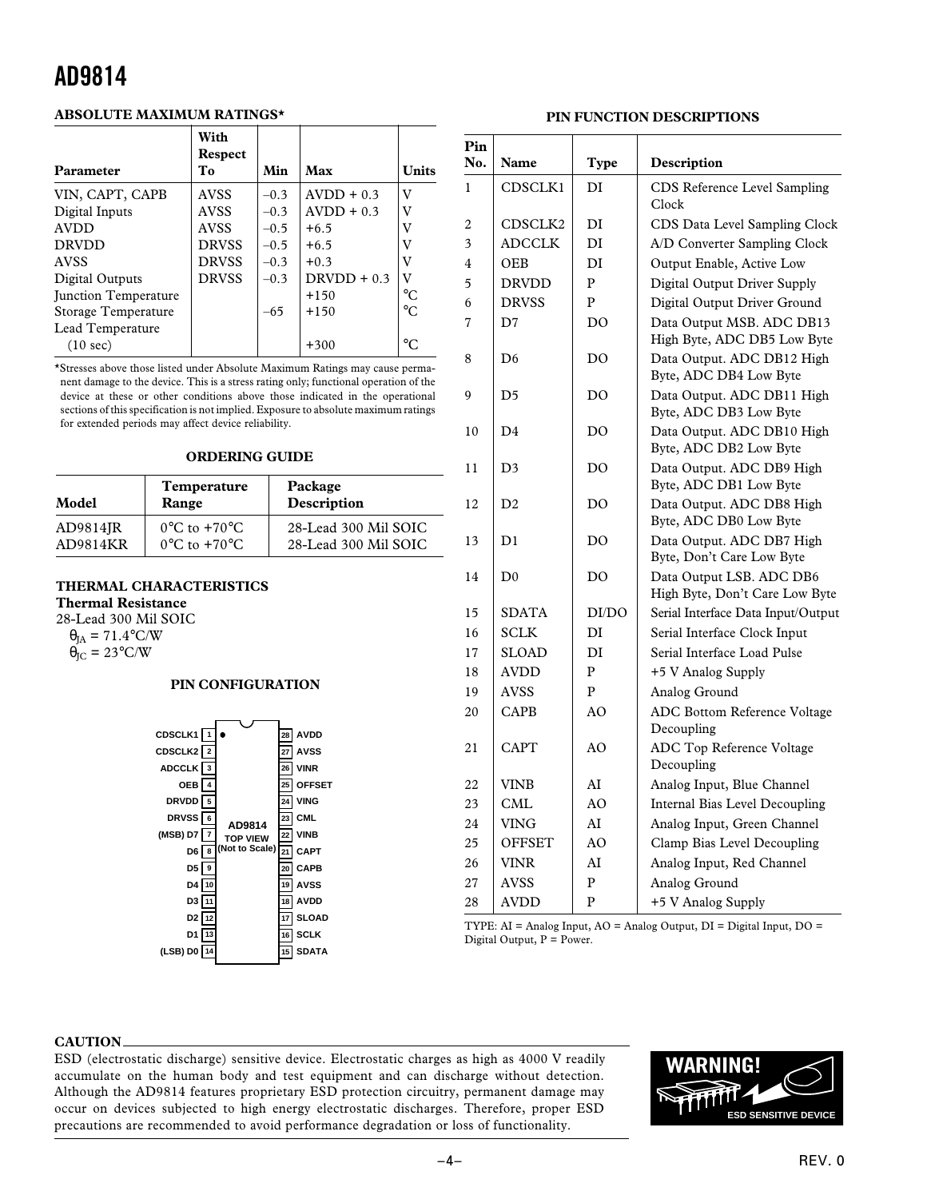### **ABSOLUTE MAXIMUM RATINGS\***

| Parameter            | With<br><b>Respect</b><br>To | Min    | Max           | <b>Units</b>    |
|----------------------|------------------------------|--------|---------------|-----------------|
| VIN, CAPT, CAPB      | <b>AVSS</b>                  | $-0.3$ | $AVDD + 0.3$  | V               |
| Digital Inputs       | <b>AVSS</b>                  | $-0.3$ | $AVDD + 0.3$  | v               |
| <b>AVDD</b>          | <b>AVSS</b>                  | $-0.5$ | $+6.5$        | v               |
| <b>DRVDD</b>         | <b>DRVSS</b>                 | $-0.5$ | $+6.5$        | v               |
| <b>AVSS</b>          | <b>DRVSS</b>                 | $-0.3$ | $+0.3$        | v               |
| Digital Outputs      | <b>DRVSS</b>                 | $-0.3$ | $DRVDD + 0.3$ | v               |
| Junction Temperature |                              |        | $+150$        | $^{\circ}C$     |
| Storage Temperature  |                              | $-65$  | $+150$        | $^{\circ}C$     |
| Lead Temperature     |                              |        |               |                 |
| $(10 \text{ sec})$   |                              |        | $+300$        | $\rm ^{\circ}C$ |

\*Stresses above those listed under Absolute Maximum Ratings may cause permanent damage to the device. This is a stress rating only; functional operation of the device at these or other conditions above those indicated in the operational sections of this specification is not implied. Exposure to absolute maximum ratings for extended periods may affect device reliability.

### **ORDERING GUIDE**

| Model    | Temperature<br>Range             | Package<br>Description |
|----------|----------------------------------|------------------------|
| AD9814JR | $0^{\circ}$ C to $+70^{\circ}$ C | 28-Lead 300 Mil SOIC   |
| AD9814KR | $0^{\circ}$ C to $+70^{\circ}$ C | 28-Lead 300 Mil SOIC   |

### **THERMAL CHARACTERISTICS**

**Thermal Resistance**

28-Lead 300 Mil SOIC

 $\theta_{JA} = 71.4$ °C/W  $\dot{\theta}_{\text{IC}} = 23^{\circ}$ C/W

#### **PIN CONFIGURATION**



### **PIN FUNCTION DESCRIPTIONS**

| Pin<br>No. | Name           | Type           | Description                                                |
|------------|----------------|----------------|------------------------------------------------------------|
| 1          | CDSCLK1        | DI             | CDS Reference Level Sampling<br>Clock                      |
| 2          | CDSCLK2        | DI             | CDS Data Level Sampling Clock                              |
| 3          | <b>ADCCLK</b>  | DI             | A/D Converter Sampling Clock                               |
| 4          | <b>OEB</b>     | DI             | Output Enable, Active Low                                  |
| 5          | <b>DRVDD</b>   | $\mathbf{P}$   | Digital Output Driver Supply                               |
| 6          | <b>DRVSS</b>   | $\overline{P}$ | Digital Output Driver Ground                               |
| 7          | D7             | DO             | Data Output MSB. ADC DB13<br>High Byte, ADC DB5 Low Byte   |
| 8          | D6             | DO             | Data Output. ADC DB12 High<br>Byte, ADC DB4 Low Byte       |
| 9          | D5             | DO             | Data Output. ADC DB11 High<br>Byte, ADC DB3 Low Byte       |
| 10         | D4             | DO             | Data Output. ADC DB10 High<br>Byte, ADC DB2 Low Byte       |
| 11         | D <sub>3</sub> | DO             | Data Output. ADC DB9 High<br>Byte, ADC DB1 Low Byte        |
| 12         | D <sub>2</sub> | DO             | Data Output. ADC DB8 High<br>Byte, ADC DB0 Low Byte        |
| 13         | D1             | DO             | Data Output. ADC DB7 High<br>Byte, Don't Care Low Byte     |
| 14         | D <sub>0</sub> | DO             | Data Output LSB. ADC DB6<br>High Byte, Don't Care Low Byte |
| 15         | SDATA          | DI/DO          | Serial Interface Data Input/Output                         |
| 16         | <b>SCLK</b>    | DI             | Serial Interface Clock Input                               |
| 17         | SLOAD          | DI             | Serial Interface Load Pulse                                |
| 18         | <b>AVDD</b>    | P              | +5 V Analog Supply                                         |
| 19         | <b>AVSS</b>    | P              | Analog Ground                                              |
| 20         | CAPB           | AO             | <b>ADC Bottom Reference Voltage</b><br>Decoupling          |
| 21         | CAPT           | AO             | ADC Top Reference Voltage<br>Decoupling                    |
| 22         | <b>VINB</b>    | AI             | Analog Input, Blue Channel                                 |
| 23         | <b>CML</b>     | AO             | Internal Bias Level Decoupling                             |
| 24         | <b>VING</b>    | AI             | Analog Input, Green Channel                                |
| 25         | <b>OFFSET</b>  | AO             | Clamp Bias Level Decoupling                                |
| 26         | <b>VINR</b>    | AI             | Analog Input, Red Channel                                  |
| 27         | <b>AVSS</b>    | $\overline{P}$ | Analog Ground                                              |
| 28         | <b>AVDD</b>    | P              | +5 V Analog Supply                                         |

TYPE: AI = Analog Input, AO = Analog Output, DI = Digital Input, DO = Digital Output, P = Power.

#### **CAUTION**

ESD (electrostatic discharge) sensitive device. Electrostatic charges as high as 4000 V readily accumulate on the human body and test equipment and can discharge without detection. Although the AD9814 features proprietary ESD protection circuitry, permanent damage may occur on devices subjected to high energy electrostatic discharges. Therefore, proper ESD precautions are recommended to avoid performance degradation or loss of functionality.

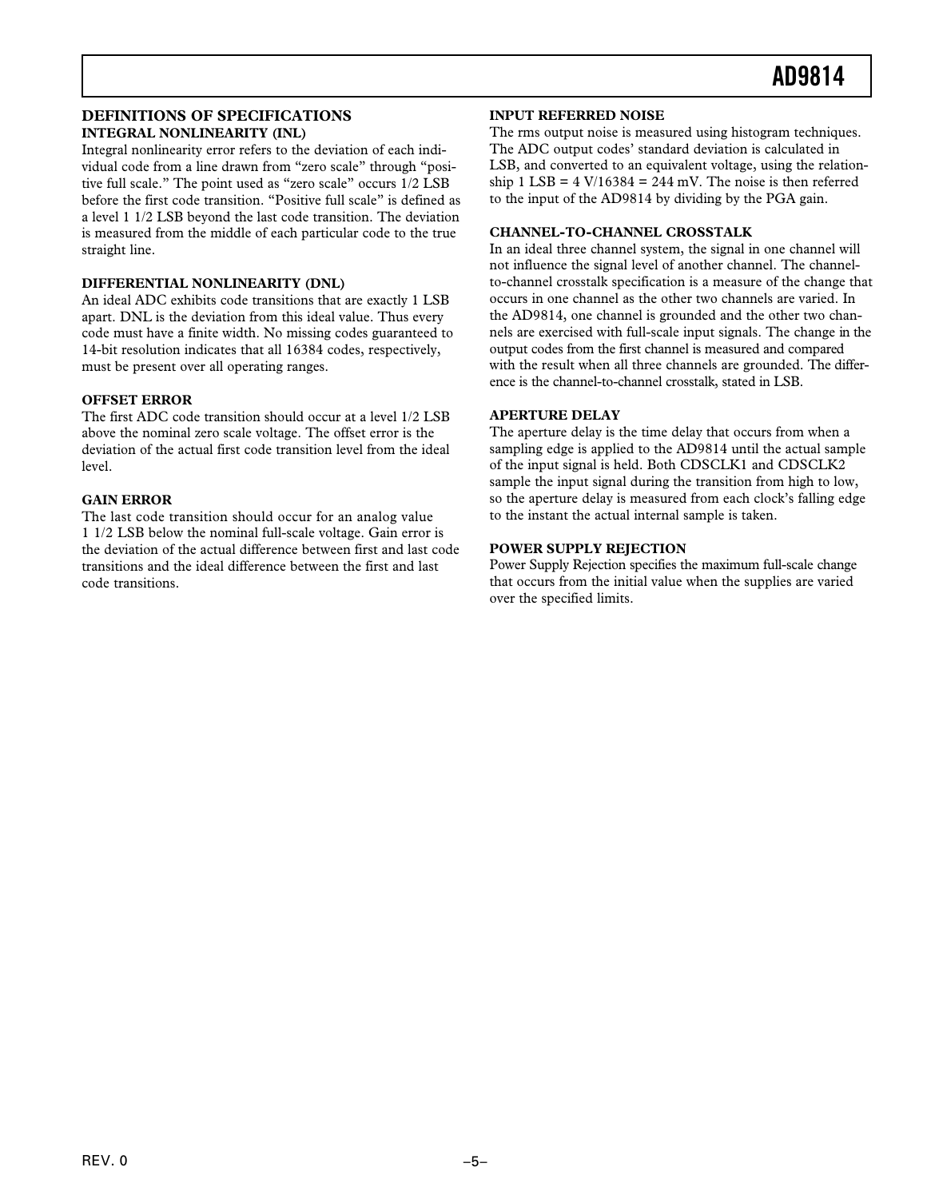### **DEFINITIONS OF SPECIFICATIONS INTEGRAL NONLINEARITY (INL)**

Integral nonlinearity error refers to the deviation of each individual code from a line drawn from "zero scale" through "positive full scale." The point used as "zero scale" occurs 1/2 LSB before the first code transition. "Positive full scale" is defined as a level 1 1/2 LSB beyond the last code transition. The deviation is measured from the middle of each particular code to the true straight line.

### **DIFFERENTIAL NONLINEARITY (DNL)**

An ideal ADC exhibits code transitions that are exactly 1 LSB apart. DNL is the deviation from this ideal value. Thus every code must have a finite width. No missing codes guaranteed to 14-bit resolution indicates that all 16384 codes, respectively, must be present over all operating ranges.

### **OFFSET ERROR**

The first ADC code transition should occur at a level 1/2 LSB above the nominal zero scale voltage. The offset error is the deviation of the actual first code transition level from the ideal level.

### **GAIN ERROR**

The last code transition should occur for an analog value 1 1/2 LSB below the nominal full-scale voltage. Gain error is the deviation of the actual difference between first and last code transitions and the ideal difference between the first and last code transitions.

### **INPUT REFERRED NOISE**

The rms output noise is measured using histogram techniques. The ADC output codes' standard deviation is calculated in LSB, and converted to an equivalent voltage, using the relationship 1 LSB =  $4 \text{ V}/16384 = 244 \text{ mV}$ . The noise is then referred to the input of the AD9814 by dividing by the PGA gain.

### **CHANNEL-TO-CHANNEL CROSSTALK**

In an ideal three channel system, the signal in one channel will not influence the signal level of another channel. The channelto-channel crosstalk specification is a measure of the change that occurs in one channel as the other two channels are varied. In the AD9814, one channel is grounded and the other two channels are exercised with full-scale input signals. The change in the output codes from the first channel is measured and compared with the result when all three channels are grounded. The difference is the channel-to-channel crosstalk, stated in LSB.

### **APERTURE DELAY**

The aperture delay is the time delay that occurs from when a sampling edge is applied to the AD9814 until the actual sample of the input signal is held. Both CDSCLK1 and CDSCLK2 sample the input signal during the transition from high to low, so the aperture delay is measured from each clock's falling edge to the instant the actual internal sample is taken.

### **POWER SUPPLY REJECTION**

Power Supply Rejection specifies the maximum full-scale change that occurs from the initial value when the supplies are varied over the specified limits.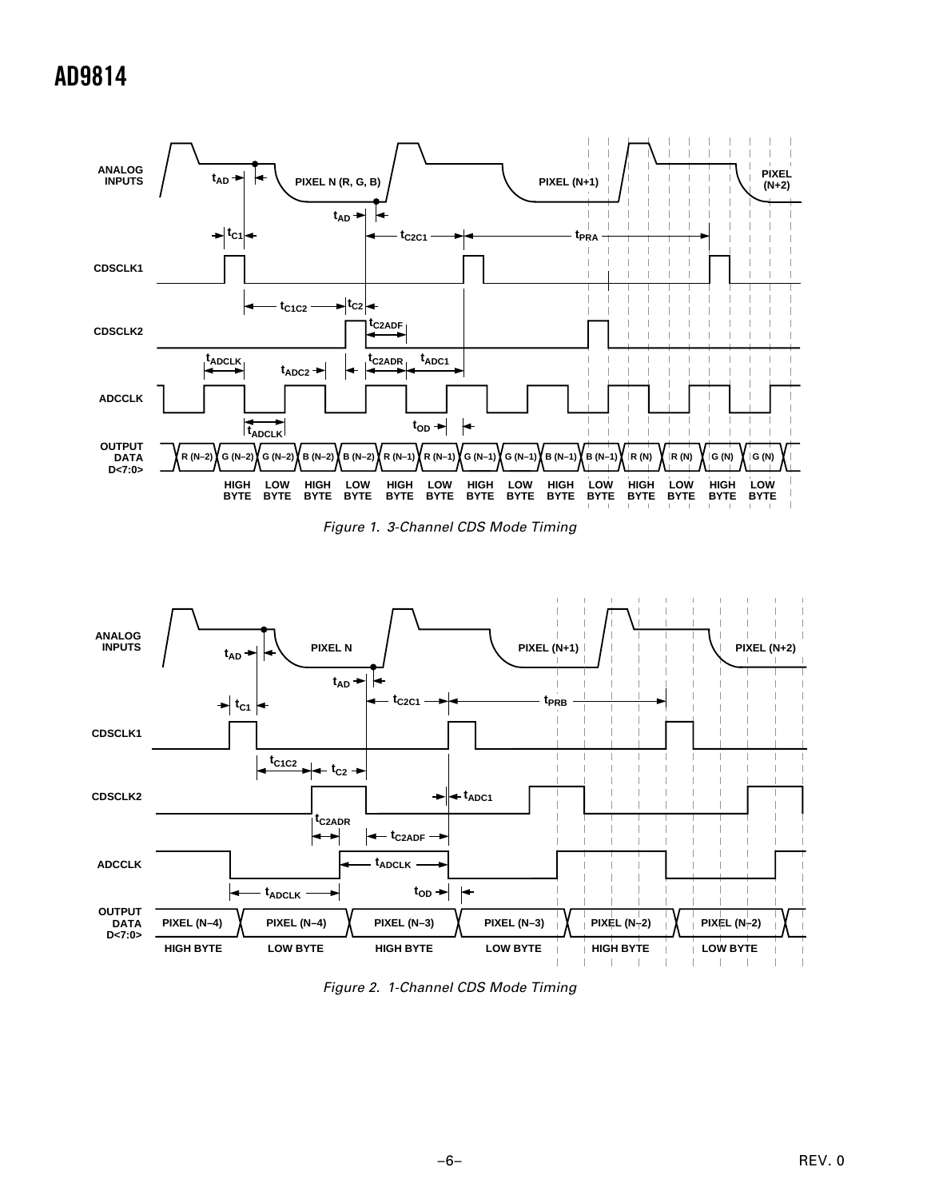





Figure 2. 1-Channel CDS Mode Timing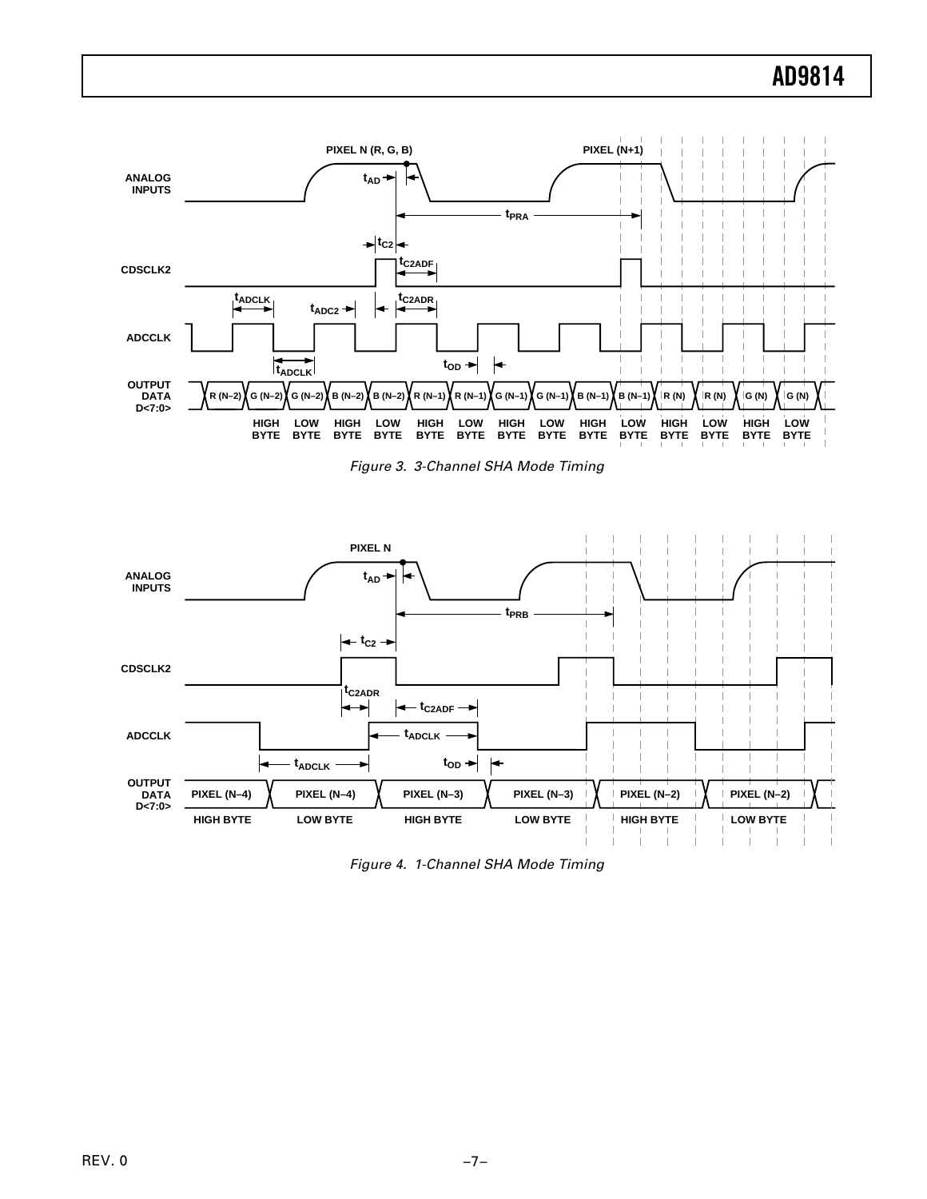





Figure 4. 1-Channel SHA Mode Timing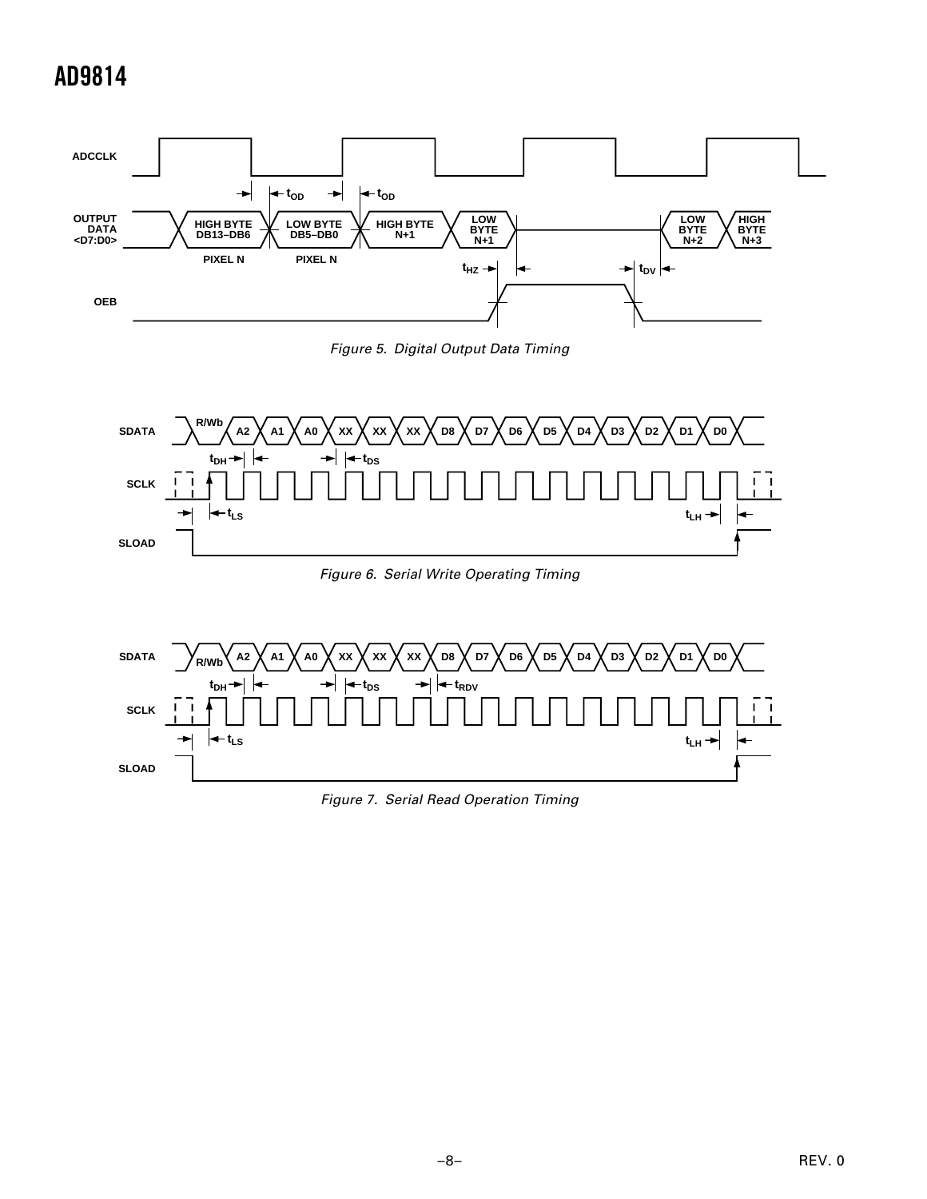

Figure 5. Digital Output Data Timing





Figure 7. Serial Read Operation Timing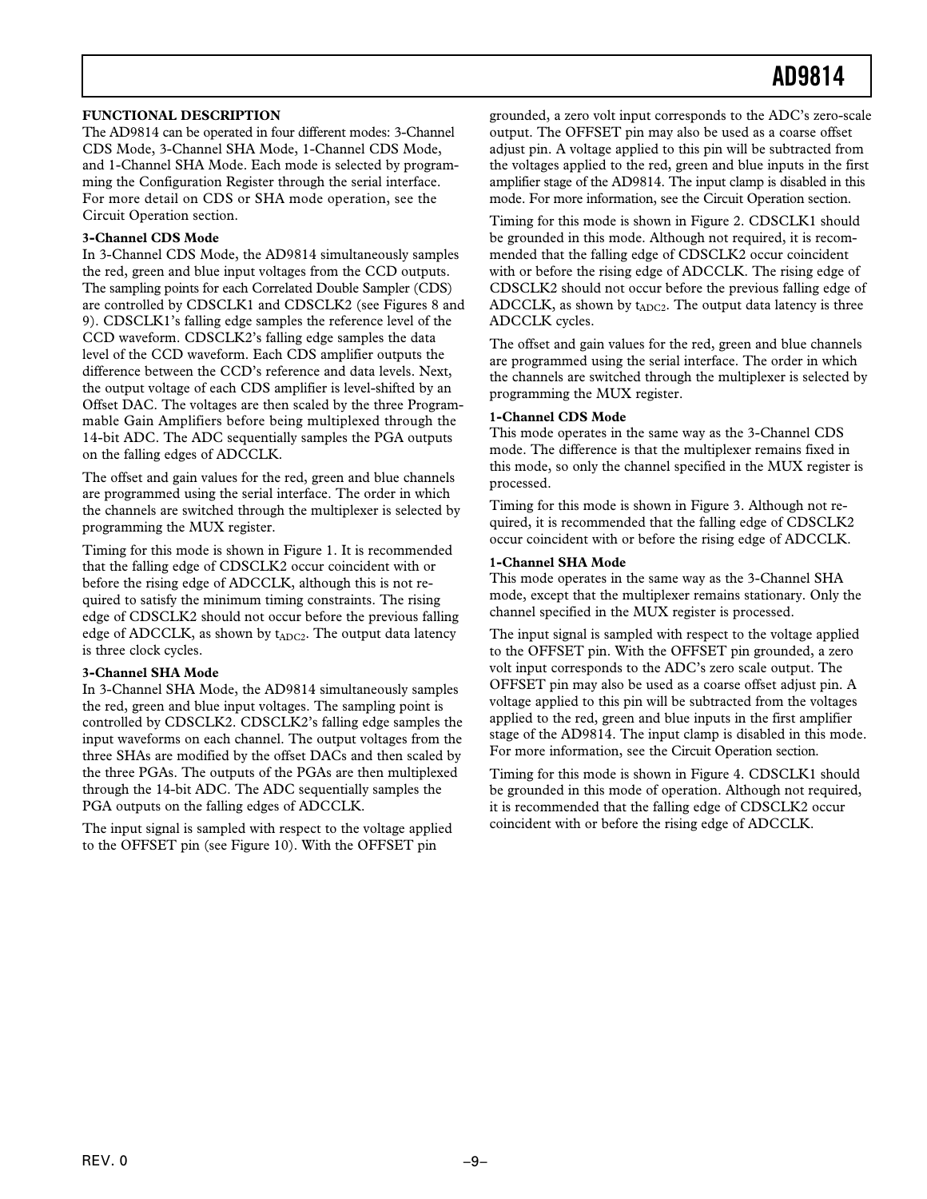### **FUNCTIONAL DESCRIPTION**

The AD9814 can be operated in four different modes: 3-Channel CDS Mode, 3-Channel SHA Mode, 1-Channel CDS Mode, and 1-Channel SHA Mode. Each mode is selected by programming the Configuration Register through the serial interface. For more detail on CDS or SHA mode operation, see the Circuit Operation section.

### **3-Channel CDS Mode**

In 3-Channel CDS Mode, the AD9814 simultaneously samples the red, green and blue input voltages from the CCD outputs. The sampling points for each Correlated Double Sampler (CDS) are controlled by CDSCLK1 and CDSCLK2 (see Figures 8 and 9). CDSCLK1's falling edge samples the reference level of the CCD waveform. CDSCLK2's falling edge samples the data level of the CCD waveform. Each CDS amplifier outputs the difference between the CCD's reference and data levels. Next, the output voltage of each CDS amplifier is level-shifted by an Offset DAC. The voltages are then scaled by the three Programmable Gain Amplifiers before being multiplexed through the 14-bit ADC. The ADC sequentially samples the PGA outputs on the falling edges of ADCCLK.

The offset and gain values for the red, green and blue channels are programmed using the serial interface. The order in which the channels are switched through the multiplexer is selected by programming the MUX register.

Timing for this mode is shown in Figure 1. It is recommended that the falling edge of CDSCLK2 occur coincident with or before the rising edge of ADCCLK, although this is not required to satisfy the minimum timing constraints. The rising edge of CDSCLK2 should not occur before the previous falling edge of ADCCLK, as shown by  $t_{ADC2}$ . The output data latency is three clock cycles.

### **3-Channel SHA Mode**

In 3-Channel SHA Mode, the AD9814 simultaneously samples the red, green and blue input voltages. The sampling point is controlled by CDSCLK2. CDSCLK2's falling edge samples the input waveforms on each channel. The output voltages from the three SHAs are modified by the offset DACs and then scaled by the three PGAs. The outputs of the PGAs are then multiplexed through the 14-bit ADC. The ADC sequentially samples the PGA outputs on the falling edges of ADCCLK.

The input signal is sampled with respect to the voltage applied to the OFFSET pin (see Figure 10). With the OFFSET pin

grounded, a zero volt input corresponds to the ADC's zero-scale output. The OFFSET pin may also be used as a coarse offset adjust pin. A voltage applied to this pin will be subtracted from the voltages applied to the red, green and blue inputs in the first amplifier stage of the AD9814. The input clamp is disabled in this mode. For more information, see the Circuit Operation section.

Timing for this mode is shown in Figure 2. CDSCLK1 should be grounded in this mode. Although not required, it is recommended that the falling edge of CDSCLK2 occur coincident with or before the rising edge of ADCCLK. The rising edge of CDSCLK2 should not occur before the previous falling edge of ADCCLK, as shown by  $t_{ADC2}$ . The output data latency is three ADCCLK cycles.

The offset and gain values for the red, green and blue channels are programmed using the serial interface. The order in which the channels are switched through the multiplexer is selected by programming the MUX register.

#### **1-Channel CDS Mode**

This mode operates in the same way as the 3-Channel CDS mode. The difference is that the multiplexer remains fixed in this mode, so only the channel specified in the MUX register is processed.

Timing for this mode is shown in Figure 3. Although not required, it is recommended that the falling edge of CDSCLK2 occur coincident with or before the rising edge of ADCCLK.

#### **1-Channel SHA Mode**

This mode operates in the same way as the 3-Channel SHA mode, except that the multiplexer remains stationary. Only the channel specified in the MUX register is processed.

The input signal is sampled with respect to the voltage applied to the OFFSET pin. With the OFFSET pin grounded, a zero volt input corresponds to the ADC's zero scale output. The OFFSET pin may also be used as a coarse offset adjust pin. A voltage applied to this pin will be subtracted from the voltages applied to the red, green and blue inputs in the first amplifier stage of the AD9814. The input clamp is disabled in this mode. For more information, see the Circuit Operation section.

Timing for this mode is shown in Figure 4. CDSCLK1 should be grounded in this mode of operation. Although not required, it is recommended that the falling edge of CDSCLK2 occur coincident with or before the rising edge of ADCCLK.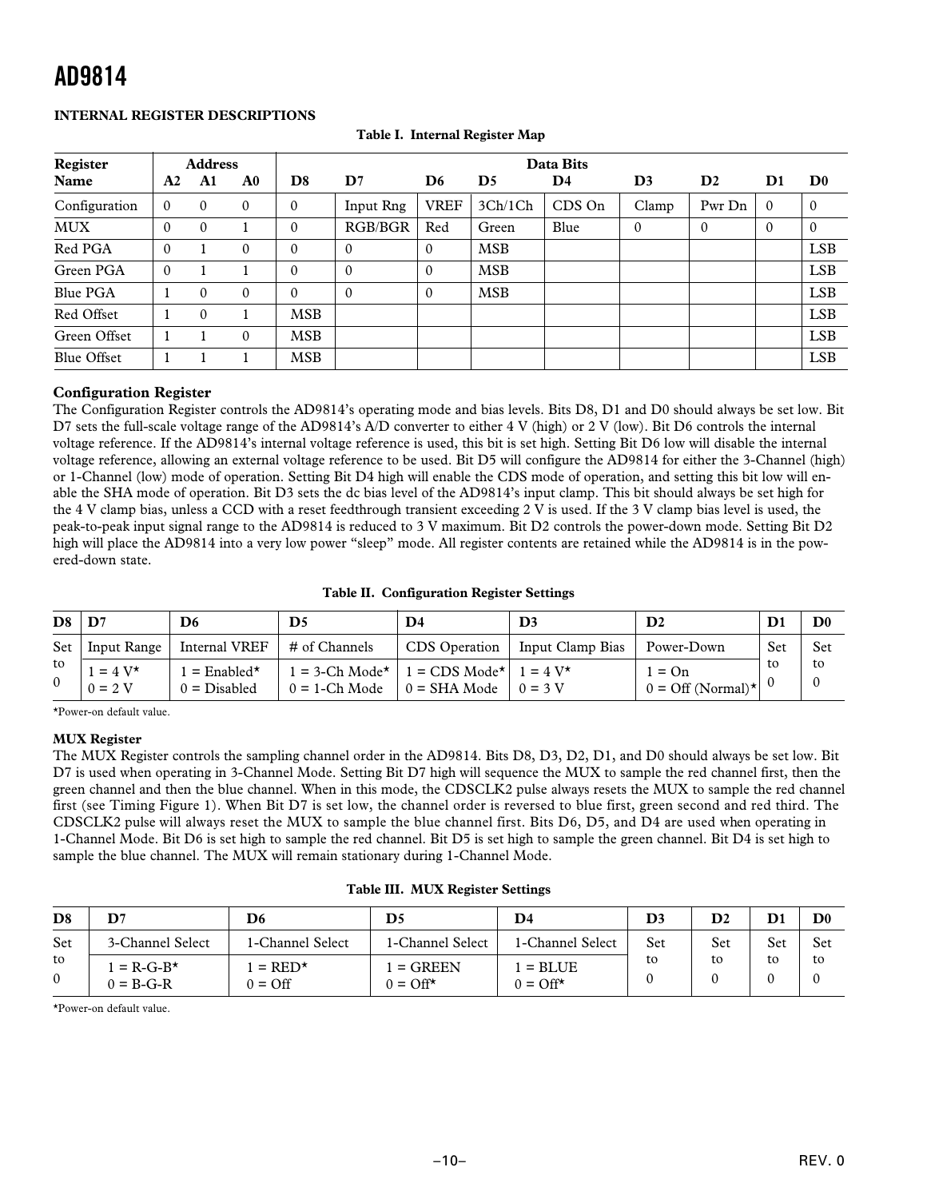### **INTERNAL REGISTER DESCRIPTIONS**

| Register        |          | <b>Address</b> |                |              | Data Bits     |                |            |          |                |               |               |                           |
|-----------------|----------|----------------|----------------|--------------|---------------|----------------|------------|----------|----------------|---------------|---------------|---------------------------|
| Name            | A2       | A1             | A <sub>0</sub> | D8           | $\mathbf{D}7$ | D <sub>6</sub> | D5         | D4       | D <sub>3</sub> | $\mathbf{D}2$ | $\mathbf{D}1$ | $\mathbf{D}^{\mathbf{0}}$ |
| Configuration   | $\Omega$ | $\mathbf{0}$   | $\mathbf{0}$   | $\mathbf{0}$ | Input Rng     | <b>VREF</b>    | 3Ch/1Ch    | $CDS$ On | Clamp          | Pwr Dn        | $\Omega$      | $\mathbf{0}$              |
| <b>MUX</b>      | $\Omega$ | $\mathbf{0}$   |                | $\Omega$     | RGB/BGR       | Red            | Green      | Blue     | $\mathbf{0}$   | $\theta$      | $\theta$      | $\Omega$                  |
| Red PGA         | $\Omega$ |                | $\mathbf{0}$   | $\Omega$     | $\theta$      | $\Omega$       | <b>MSB</b> |          |                |               |               | <b>LSB</b>                |
| Green PGA       | 0        |                |                | $\Omega$     | $\Omega$      | $\Omega$       | <b>MSB</b> |          |                |               |               | <b>LSB</b>                |
| <b>Blue PGA</b> |          | $\mathbf{0}$   | $\mathbf{0}$   | $\Omega$     | $\Omega$      | $\mathbf{0}$   | <b>MSB</b> |          |                |               |               | <b>LSB</b>                |
| Red Offset      |          | $\Omega$       |                | <b>MSB</b>   |               |                |            |          |                |               |               | <b>LSB</b>                |
| Green Offset    |          |                | $\mathbf{0}$   | <b>MSB</b>   |               |                |            |          |                |               |               | <b>LSB</b>                |
| Blue Offset     |          |                |                | <b>MSB</b>   |               |                |            |          |                |               |               | <b>LSB</b>                |

| Table I. Internal Register Map |  |
|--------------------------------|--|

### **Configuration Register**

The Configuration Register controls the AD9814's operating mode and bias levels. Bits D8, D1 and D0 should always be set low. Bit D7 sets the full-scale voltage range of the AD9814's A/D converter to either 4 V (high) or 2 V (low). Bit D6 controls the internal voltage reference. If the AD9814's internal voltage reference is used, this bit is set high. Setting Bit D6 low will disable the internal voltage reference, allowing an external voltage reference to be used. Bit D5 will configure the AD9814 for either the 3-Channel (high) or 1-Channel (low) mode of operation. Setting Bit D4 high will enable the CDS mode of operation, and setting this bit low will enable the SHA mode of operation. Bit D3 sets the dc bias level of the AD9814's input clamp. This bit should always be set high for the 4 V clamp bias, unless a CCD with a reset feedthrough transient exceeding 2 V is used. If the 3 V clamp bias level is used, the peak-to-peak input signal range to the AD9814 is reduced to 3 V maximum. Bit D2 controls the power-down mode. Setting Bit D2 high will place the AD9814 into a very low power "sleep" mode. All register contents are retained while the AD9814 is in the powered-down state.

| <b>Table II. Configuration Register Settings</b> |
|--------------------------------------------------|
|--------------------------------------------------|

| D <sub>8</sub> | $\mathbf{D}7$                | D <sub>6</sub>                | D5               | D4                                                                                                 | D <sub>3</sub>   | $\mathbf{D}2$                                 | $\mathbf{D}$ | $\mathbf{D}$ <sub>0</sub> |
|----------------|------------------------------|-------------------------------|------------------|----------------------------------------------------------------------------------------------------|------------------|-----------------------------------------------|--------------|---------------------------|
| Set            | Input Range                  | Internal VREF                 | # of Channels    | $CDS$ Operation $\vert$                                                                            | Input Clamp Bias | Power-Down                                    | Set          | Set                       |
| to<br>$\Omega$ | $= 4 V^{\star}$<br>$0 = 2$ V | $=$ Enabled*<br>$0 = Disable$ | $0 = 1$ -Ch Mode | $1 = 3$ -Ch Mode <sup>*</sup>   1 = CDS Mode <sup>*</sup>   1 = 4 V <sup>*</sup><br>$0 = SHA Mode$ | $0 = 3$ V        | $1 = On$<br>$0 = \text{Off (Normal)}^{\star}$ | to           | to<br>$\Omega$            |

\*Power-on default value.

### **MUX Register**

The MUX Register controls the sampling channel order in the AD9814. Bits D8, D3, D2, D1, and D0 should always be set low. Bit D7 is used when operating in 3-Channel Mode. Setting Bit D7 high will sequence the MUX to sample the red channel first, then the green channel and then the blue channel. When in this mode, the CDSCLK2 pulse always resets the MUX to sample the red channel first (see Timing Figure 1). When Bit D7 is set low, the channel order is reversed to blue first, green second and red third. The CDSCLK2 pulse will always reset the MUX to sample the blue channel first. Bits D6, D5, and D4 are used when operating in 1-Channel Mode. Bit D6 is set high to sample the red channel. Bit D5 is set high to sample the green channel. Bit D4 is set high to sample the blue channel. The MUX will remain stationary during 1-Channel Mode.

**Table III. MUX Register Settings**

| D <sub>8</sub>     | D7                                 | D6                                       | D5                              | D4                                   | D3  | $\mathbf{D}2$ | D   | $\mathbf{D}^{\mathbf{0}}$ |
|--------------------|------------------------------------|------------------------------------------|---------------------------------|--------------------------------------|-----|---------------|-----|---------------------------|
| Set                | 3-Channel Select                   | 1-Channel Select                         | 1-Channel Select                | 1-Channel Select                     | Set | Set           | Set | Set                       |
| to<br>$\mathbf{0}$ | $= R - G - B^*$<br>$0 = B - G - R$ | $=$ RED <sup>*</sup><br>$0 = \text{Off}$ | $=$ GREEN<br>$0 = \Omega f f^*$ | $=$ BLUE<br>$0 = \text{Off}^{\star}$ | to  | to            | to  | to                        |

\*Power-on default value.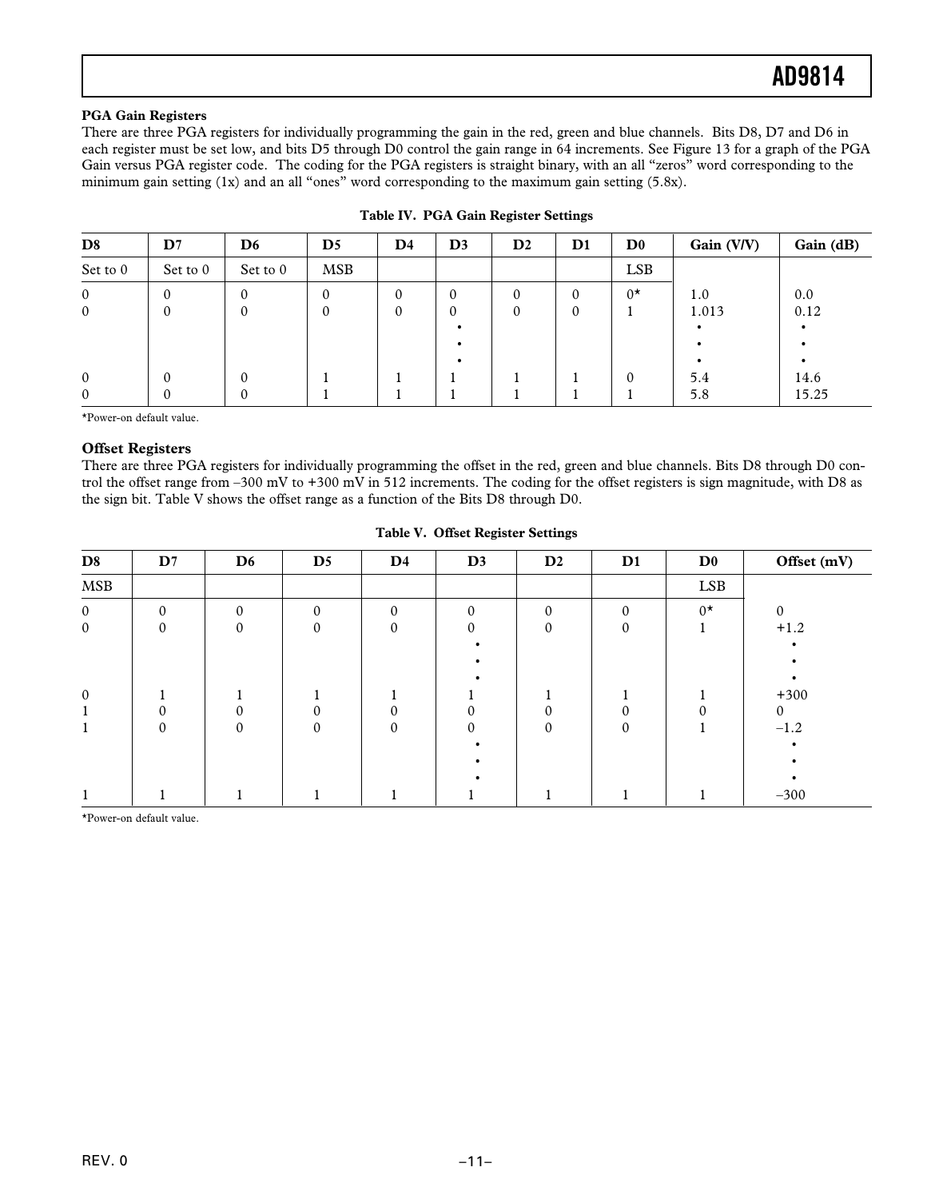### **PGA Gain Registers**

There are three PGA registers for individually programming the gain in the red, green and blue channels. Bits D8, D7 and D6 in each register must be set low, and bits D5 through D0 control the gain range in 64 increments. See Figure 13 for a graph of the PGA Gain versus PGA register code. The coding for the PGA registers is straight binary, with an all "zeros" word corresponding to the minimum gain setting (1x) and an all "ones" word corresponding to the maximum gain setting (5.8x).

| D <sub>8</sub> | $\mathbf{D}7$ | D <sub>6</sub> | $\mathbf{D}5$ | $\mathbf{D}4$ | D <sub>3</sub> | $\mathbf{D}2$ | $\mathbf{D}1$ | $\mathbf{D}^0$ | Gain (V/V) | Gain (dB) |
|----------------|---------------|----------------|---------------|---------------|----------------|---------------|---------------|----------------|------------|-----------|
| Set to 0       | Set to 0      | Set to 0       | <b>MSB</b>    |               |                |               |               | <b>LSB</b>     |            |           |
| $\mathbf{0}$   | 0             | 0              | 0             | 0             | $\mathbf{0}$   | $\theta$      | $\mathbf{0}$  | $0^{\star}$    | 1.0        | 0.0       |
| $\overline{0}$ | 0             |                |               | 0             | $\mathbf{0}$   | 0             | $\mathbf{0}$  |                | 1.013      | 0.12      |
|                |               |                |               |               |                |               |               |                |            |           |
|                |               |                |               |               |                |               |               |                |            |           |
|                |               |                |               |               |                |               |               |                |            |           |
| $\mathbf{0}$   | 0             |                |               |               |                |               |               |                | 5.4        | 14.6      |
| $\overline{0}$ | 0             | 0              |               |               |                |               |               |                | 5.8        | 15.25     |

| Table IV. PGA Gain Register Settings |  |  |
|--------------------------------------|--|--|
|                                      |  |  |

\*Power-on default value.

### **Offset Registers**

There are three PGA registers for individually programming the offset in the red, green and blue channels. Bits D8 through D0 control the offset range from –300 mV to +300 mV in 512 increments. The coding for the offset registers is sign magnitude, with D8 as the sign bit. Table V shows the offset range as a function of the Bits D8 through D0.

### **Table V. Offset Register Settings**

| D <sub>8</sub> | $\mathbf{D}7$ | D <sub>6</sub> | $\mathbf{D}5$ | $\mathbf{D}4$ | D3       | $\mathbf{D}2$ | $\mathbf{D1}$ | D <sub>0</sub> | Offset (mV) |
|----------------|---------------|----------------|---------------|---------------|----------|---------------|---------------|----------------|-------------|
| <b>MSB</b>     |               |                |               |               |          |               |               | <b>LSB</b>     |             |
| $\overline{0}$ | $\Omega$      | $\Omega$       | $\Omega$      | $\Omega$      | $\theta$ | $\Omega$      | $\Omega$      | $0^{\star}$    | $\Omega$    |
| $\overline{0}$ |               | $\mathbf{0}$   | 0             | $\Omega$      | $\theta$ |               |               |                | $+1.2$      |
|                |               |                |               |               |          |               |               |                |             |
|                |               |                |               |               |          |               |               |                |             |
|                |               |                |               |               |          |               |               |                |             |
| $\theta$       |               |                |               |               |          |               |               |                | $+300$      |
|                |               |                |               |               |          |               |               |                | $\Omega$    |
|                |               | $\Omega$       | $\Omega$      | $\Omega$      | $\Omega$ | $\theta$      | $\Omega$      |                | $-1.2$      |
|                |               |                |               |               |          |               |               |                |             |
|                |               |                |               |               |          |               |               |                |             |
|                |               |                |               |               |          |               |               |                |             |
|                |               |                |               |               |          |               |               |                | $-300$      |

\*Power-on default value.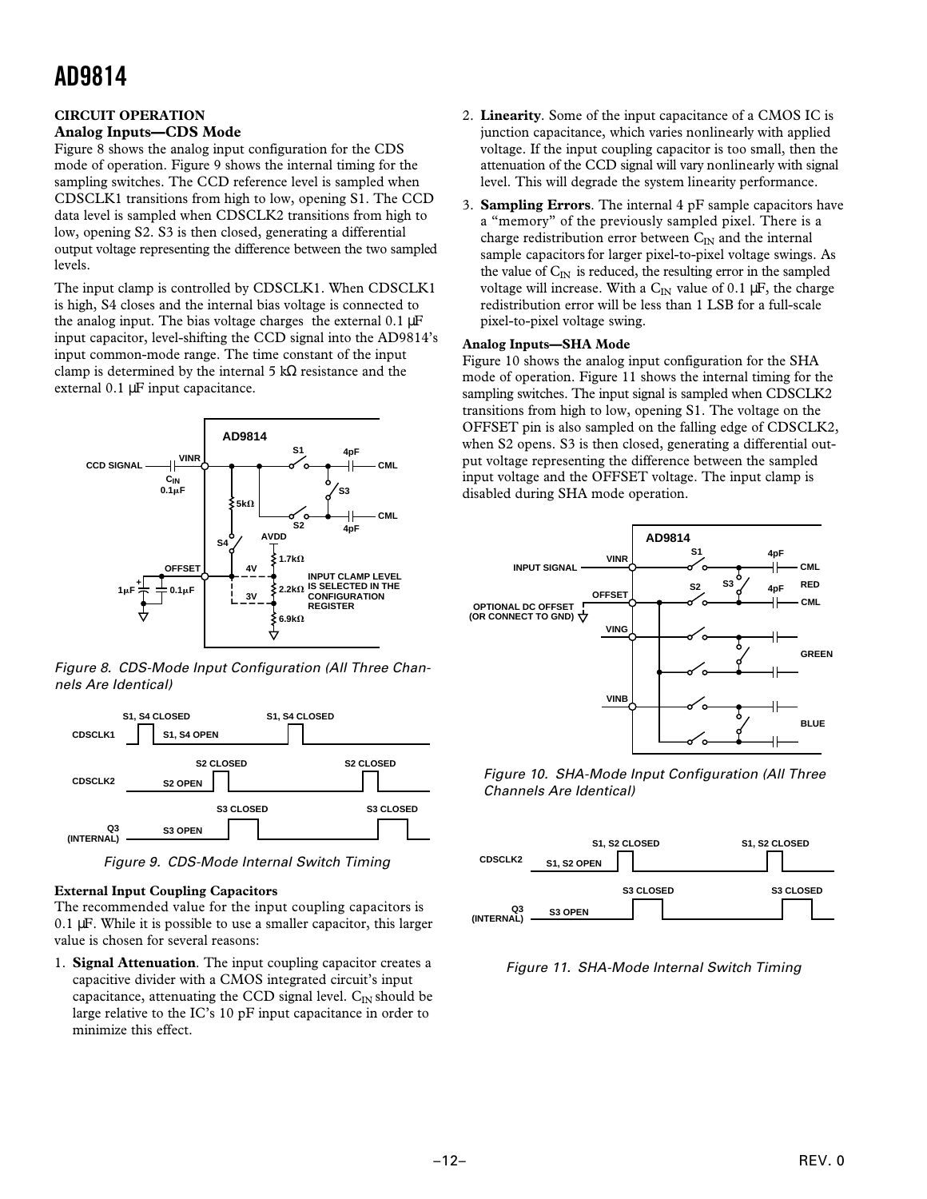### **CIRCUIT OPERATION Analog Inputs—CDS Mode**

Figure 8 shows the analog input configuration for the CDS mode of operation. Figure 9 shows the internal timing for the sampling switches. The CCD reference level is sampled when CDSCLK1 transitions from high to low, opening S1. The CCD data level is sampled when CDSCLK2 transitions from high to low, opening S2. S3 is then closed, generating a differential output voltage representing the difference between the two sampled levels.

The input clamp is controlled by CDSCLK1. When CDSCLK1 is high, S4 closes and the internal bias voltage is connected to the analog input. The bias voltage charges the external  $0.1 \mu$ F input capacitor, level-shifting the CCD signal into the AD9814's input common-mode range. The time constant of the input clamp is determined by the internal 5 kΩ resistance and the external 0.1 µF input capacitance.



Figure 8. CDS-Mode Input Configuration (All Three Channels Are Identical)



Figure 9. CDS-Mode Internal Switch Timing

### **External Input Coupling Capacitors**

The recommended value for the input coupling capacitors is  $0.1 \mu$ F. While it is possible to use a smaller capacitor, this larger value is chosen for several reasons:

1. **Signal Attenuation**. The input coupling capacitor creates a capacitive divider with a CMOS integrated circuit's input capacitance, attenuating the CCD signal level.  $C_{IN}$  should be large relative to the IC's 10 pF input capacitance in order to minimize this effect.

- 2. **Linearity**. Some of the input capacitance of a CMOS IC is junction capacitance, which varies nonlinearly with applied voltage. If the input coupling capacitor is too small, then the attenuation of the CCD signal will vary nonlinearly with signal level. This will degrade the system linearity performance.
- 3. **Sampling Errors**. The internal 4 pF sample capacitors have a "memory" of the previously sampled pixel. There is a charge redistribution error between  $C_{IN}$  and the internal sample capacitors for larger pixel-to-pixel voltage swings. As the value of  $C_{\text{IN}}$  is reduced, the resulting error in the sampled voltage will increase. With a  $C_{IN}$  value of 0.1  $\mu$ F, the charge redistribution error will be less than 1 LSB for a full-scale pixel-to-pixel voltage swing.

### **Analog Inputs—SHA Mode**

Figure 10 shows the analog input configuration for the SHA mode of operation. Figure 11 shows the internal timing for the sampling switches. The input signal is sampled when CDSCLK2 transitions from high to low, opening S1. The voltage on the OFFSET pin is also sampled on the falling edge of CDSCLK2, when S2 opens. S3 is then closed, generating a differential output voltage representing the difference between the sampled input voltage and the OFFSET voltage. The input clamp is disabled during SHA mode operation.



Figure 10. SHA-Mode Input Configuration (All Three Channels Are Identical)



Figure 11. SHA-Mode Internal Switch Timing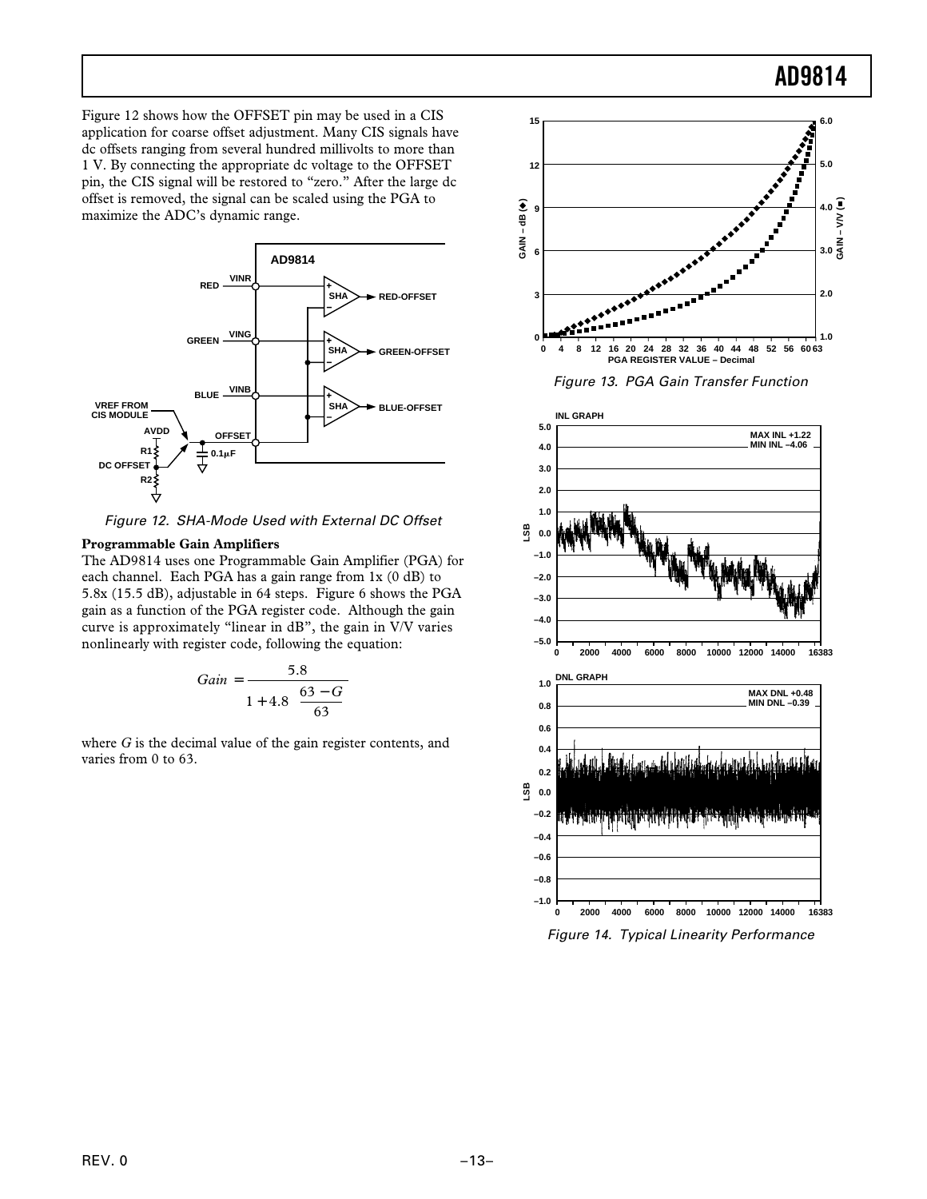Figure 12 shows how the OFFSET pin may be used in a CIS application for coarse offset adjustment. Many CIS signals have dc offsets ranging from several hundred millivolts to more than 1 V. By connecting the appropriate dc voltage to the OFFSET pin, the CIS signal will be restored to "zero." After the large dc offset is removed, the signal can be scaled using the PGA to maximize the ADC's dynamic range.



Figure 12. SHA-Mode Used with External DC Offset

### **Programmable Gain Amplifiers**

The AD9814 uses one Programmable Gain Amplifier (PGA) for each channel. Each PGA has a gain range from 1x (0 dB) to 5.8x (15.5 dB), adjustable in 64 steps. Figure 6 shows the PGA gain as a function of the PGA register code. Although the gain curve is approximately "linear in dB", the gain in V/V varies nonlinearly with register code, following the equation:

$$
Gain = \frac{5.8}{1 + 4.8 \left[ \frac{63 - G}{63} \right]}
$$

where *G* is the decimal value of the gain register contents, and varies from 0 to 63.





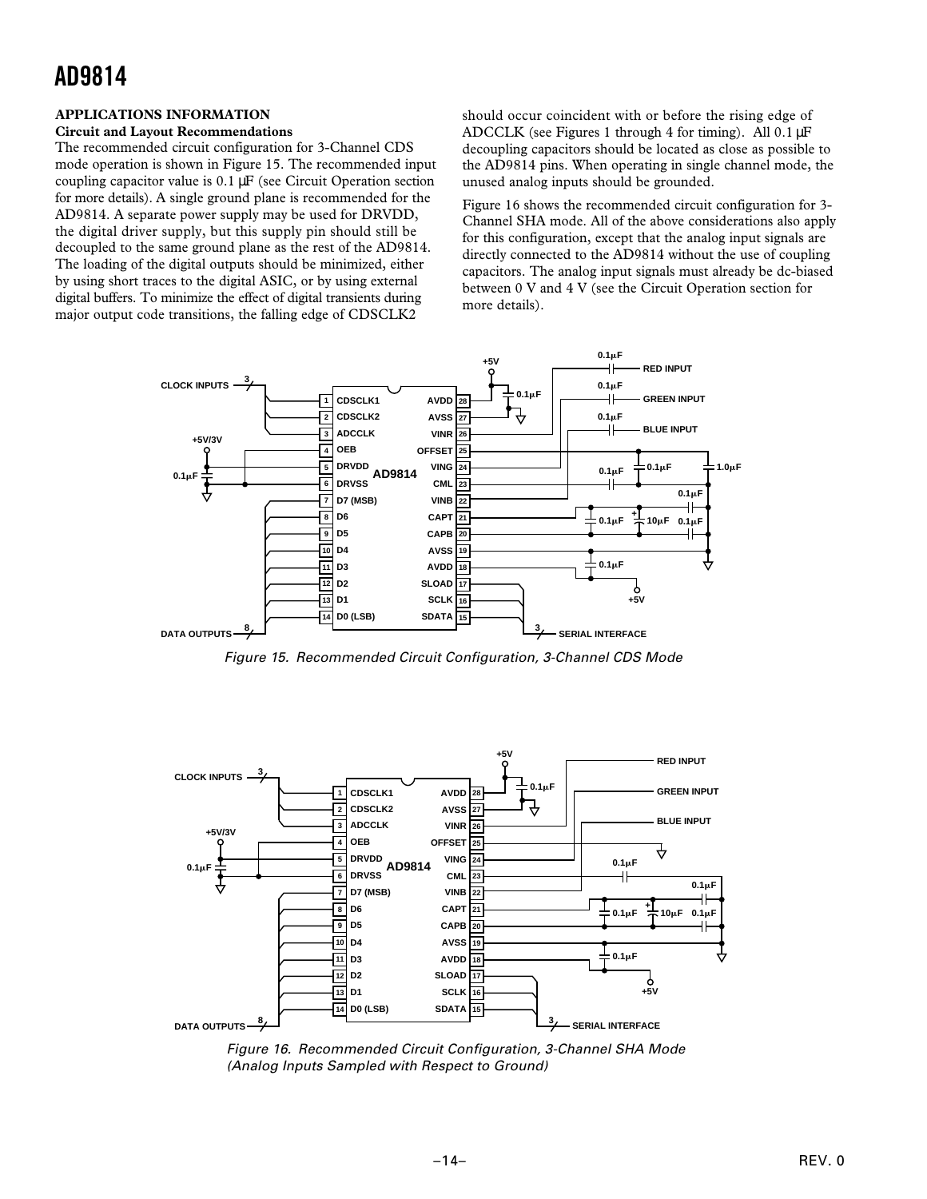### **APPLICATIONS INFORMATION**

### **Circuit and Layout Recommendations**

The recommended circuit configuration for 3-Channel CDS mode operation is shown in Figure 15. The recommended input coupling capacitor value is 0.1 µF (see Circuit Operation section for more details). A single ground plane is recommended for the AD9814. A separate power supply may be used for DRVDD, the digital driver supply, but this supply pin should still be decoupled to the same ground plane as the rest of the AD9814. The loading of the digital outputs should be minimized, either by using short traces to the digital ASIC, or by using external digital buffers. To minimize the effect of digital transients during major output code transitions, the falling edge of CDSCLK2

should occur coincident with or before the rising edge of ADCCLK (see Figures 1 through 4 for timing). All 0.1 µF decoupling capacitors should be located as close as possible to the AD9814 pins. When operating in single channel mode, the unused analog inputs should be grounded.

Figure 16 shows the recommended circuit configuration for 3- Channel SHA mode. All of the above considerations also apply for this configuration, except that the analog input signals are directly connected to the AD9814 without the use of coupling capacitors. The analog input signals must already be dc-biased between 0 V and 4 V (see the Circuit Operation section for more details).



Figure 15. Recommended Circuit Configuration, 3-Channel CDS Mode



 Figure 16. Recommended Circuit Configuration, 3-Channel SHA Mode (Analog Inputs Sampled with Respect to Ground)